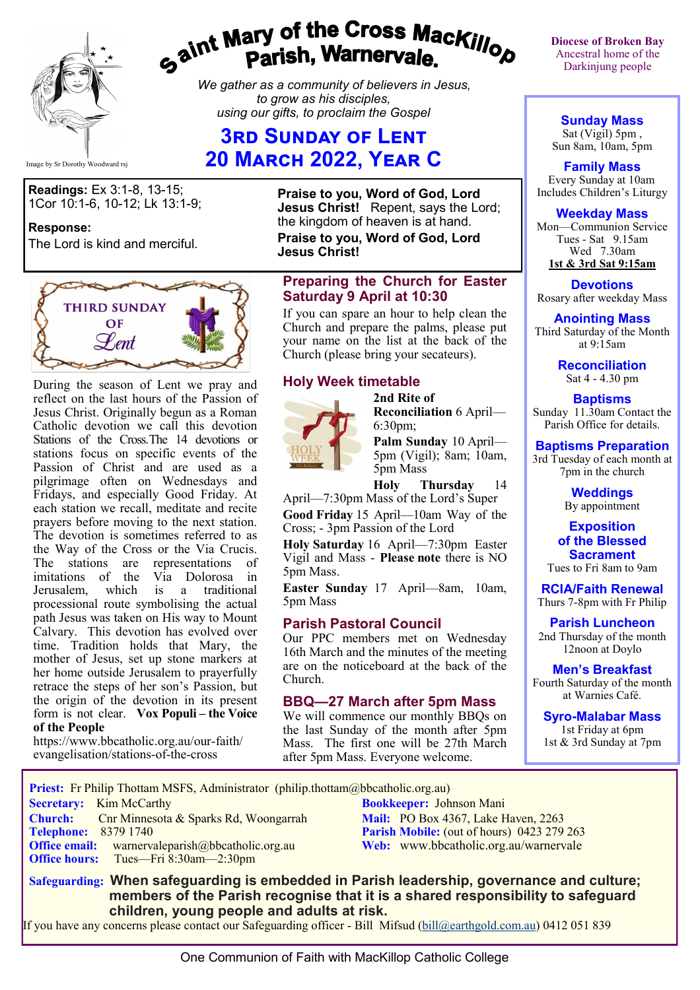

# gaint Mary of the Cross Mackillop<br>g<sup>aint</sup> Parish, Warnervale.

*We gather as a community of believers in Jesus, to grow as his disciples, using our gifts, to proclaim the Gospel*

# **3rd Sunday of Lent 20 March 2022, Year C**

Image by Sr Dorothy Woodward rsj

**Readings:** Ex 3:1-8, 13-15; 1Cor 10:1-6, 10-12; Lk 13:1-9;

#### **Response:**

The Lord is kind and merciful.



During the season of Lent we pray and reflect on the last hours of the Passion of Jesus Christ. Originally begun as a Roman Catholic devotion we call this devotion Stations of the Cross. The 14 devotions or stations focus on specific events of the Passion of Christ and are used as a pilgrimage often on Wednesdays and Fridays, and especially Good Friday. At each station we recall, meditate and recite prayers before moving to the next station. The devotion is sometimes referred to as the Way of the Cross or the Via Crucis. The stations are representations of imitations of the Via Dolorosa in Jerusalem, which is a traditional processional route symbolising the actual path Jesus was taken on His way to Mount Calvary. This devotion has evolved over time. Tradition holds that Mary, the mother of Jesus, set up stone markers at her home outside Jerusalem to prayerfully retrace the steps of her son's Passion, but the origin of the devotion in its present form is not clear. **Vox Populi – the Voice of the People**

https://www.bbcatholic.org.au/our-faith/ evangelisation/stations-of-the-cross

**Praise to you, Word of God, Lord Jesus Christ!** Repent, says the Lord; the kingdom of heaven is at hand. **Praise to you, Word of God, Lord Jesus Christ!** 

#### **Preparing the Church for Easter Saturday 9 April at 10:30**

If you can spare an hour to help clean the Church and prepare the palms, please put your name on the list at the back of the Church (please bring your secateurs).

## **Holy Week timetable**



**2nd Rite of Reconciliation** 6 April— 6:30pm;

**Palm Sunday** 10 April— 5pm (Vigil); 8am; 10am, 5pm Mass

**Holy Thursday** 14 April—7:30pm Mass of the Lord's Super

**Good Friday** 15 April—10am Way of the Cross; - 3pm Passion of the Lord

**Holy Saturday** 16 April—7:30pm Easter Vigil and Mass - **Please note** there is NO 5pm Mass.

**Easter Sunday** 17 April—8am, 10am, 5pm Mass

#### **Parish Pastoral Council**

Our PPC members met on Wednesday 16th March and the minutes of the meeting are on the noticeboard at the back of the Church.

## **BBQ—27 March after 5pm Mass**

We will commence our monthly BBOs on the last Sunday of the month after 5pm Mass. The first one will be 27th March after 5pm Mass. Everyone welcome.

**Diocese of Broken Bay**  Ancestral home of the Darkinjung people

**Sunday Mass** Sat (Vigil) 5pm , Sun 8am, 10am, 5pm

**Family Mass**  Every Sunday at 10am Includes Children's Liturgy

#### **Weekday Mass**

Mon—Communion Service Tues - Sat 9.15am Wed 7.30am **1st & 3rd Sat 9:15am**

**Devotions** Rosary after weekday Mass

**Anointing Mass** Third Saturday of the Month at 9:15am

> **Reconciliation** Sat 4 - 4.30 pm

**Baptisms** Sunday 11.30am Contact the Parish Office for details.

**Baptisms Preparation** 3rd Tuesday of each month at 7pm in the church

> **Weddings**  By appointment

#### **Exposition of the Blessed Sacrament**

Tues to Fri 8am to 9am

**RCIA/Faith Renewal**  Thurs 7-8pm with Fr Philip

**Parish Luncheon** 2nd Thursday of the month 12noon at Doylo

**Men's Breakfast** Fourth Saturday of the month at Warnies Café.

**Syro-Malabar Mass** 1st Friday at 6pm 1st & 3rd Sunday at 7pm

 **Priest:** Fr Philip Thottam MSFS, Administrator (philip.thottam@bbcatholic.org.au)

**Secretary:** Kim McCarthy **Bookkeeper:** Johnson Mani **Church:** Cnr Minnesota & Sparks Rd, Woongarrah **Mail: PO Box 4367, Lake Haven, 2263**<br> **Parish Mobile:** (out of hours) 0423 279 **Office hours:** Tues—Fri 8:30am—2:30pm

**Parish Mobile:** (out of hours) 0423 279 263 **Office email:** warnervaleparish@bbcatholic.org.au **Web:** [www.bbcatholic.org.au/warnervale](https://www.bbcatholic.org.au/warnervale)

 **Safeguarding: When safeguarding is embedded in Parish leadership, governance and culture; members of the Parish recognise that it is a shared responsibility to safeguard children, young people and adults at risk.**

If you have any concerns please contact our Safeguarding officer - Bill Mifsud ([bill@earthgold.com.au\)](mailto:bill@earthgold.com.au) 0412 051 839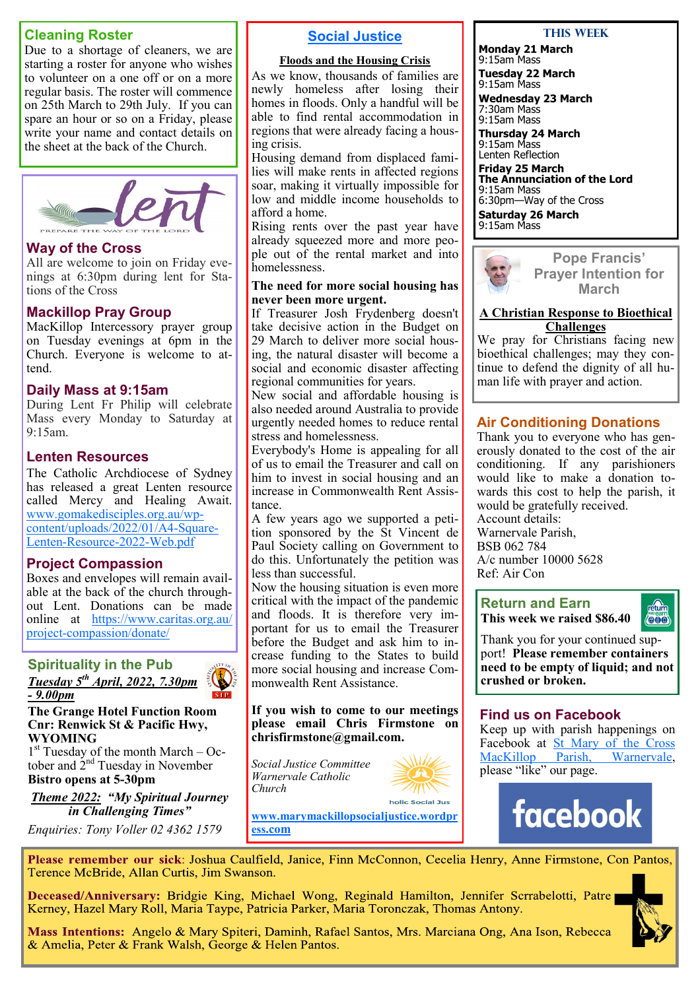#### **Cleaning Roster**

Due to a shortage of cleaners, we are starting a roster for anyone who wishes to volunteer on a one off or on a more regular basis. The roster will commence on 25th March to 29th July. If you can spare an hour or so on a Friday, please write your name and contact details on the sheet at the back of the Church.



#### **Way of the Cross**

All are welcome to join on Friday evenings at 6:30pm during lent for Stations of the Cross

#### **Mackillop Pray Group**

MacKillop Intercessory prayer group on Tuesday evenings at 6pm in the Church. Everyone is welcome to attend.

#### **Daily Mass at 9:15am**

During Lent Fr Philip will celebrate Mass every Monday to Saturday at 9:15am.

#### **Lenten Resources**

The Catholic Archdiocese of Sydney has released a great Lenten resource called Mercy and Healing Await. [www.gomakedisciples.org.au/wp](http://www.gomakedisciples.org.au/wp-content/uploads/2022/01/A4-Square-Lenten-Resource-2022-Web.pdf)[content/uploads/2022/01/A4](http://www.gomakedisciples.org.au/wp-content/uploads/2022/01/A4-Square-Lenten-Resource-2022-Web.pdf)-Square-Lenten-[Resource](http://www.gomakedisciples.org.au/wp-content/uploads/2022/01/A4-Square-Lenten-Resource-2022-Web.pdf)-2022-Web.pdf

#### **Project Compassion**

Boxes and envelopes will remain available at the back of the church throughout Lent. Donations can be made online at [https://www.caritas.org.au/](https://www.caritas.org.au/project-compassion/donate/) project-[compassion/donate/](https://www.caritas.org.au/project-compassion/donate/)

## **Spirituality in the Pub**



**The Grange Hotel Function Room Cnr: Renwick St & Pacific Hwy, WYOMING**

1<sup>st</sup> Tuesday of the month March – October and  $2<sup>nd</sup>$  Tuesday in November **Bistro opens at 5-30pm**

*Theme 2022: "My Spiritual Journey in Challenging Times"*

*Enquiries: Tony Voller 02 4362 1579*

#### **Social Justice**

#### **Floods and the Housing Crisis**

As we know, thousands of families are newly homeless after losing their homes in floods. Only a handful will be able to find rental accommodation in regions that were already facing a housing crisis.

Housing demand from displaced families will make rents in affected regions soar, making it virtually impossible for low and middle income households to afford a home.

Rising rents over the past year have already squeezed more and more people out of the rental market and into homelessness.

#### **The need for more social housing has never been more urgent.**

If Treasurer Josh Frydenberg doesn't take decisive action in the Budget on 29 March to deliver more social housing, the natural disaster will become a social and economic disaster affecting regional communities for years.

New social and affordable housing is also needed around Australia to provide urgently needed homes to reduce rental stress and homelessness.

Everybody's Home is appealing for all of us to email the Treasurer and call on him to invest in social housing and an increase in Commonwealth Rent Assistance.

A few years ago we supported a petition sponsored by the St Vincent de Paul Society calling on Government to do this. Unfortunately the petition was less than successful.

Now the housing situation is even more critical with the impact of the pandemic and floods. It is therefore very important for us to email the Treasurer before the Budget and ask him to increase funding to the States to build more social housing and increase Commonwealth Rent Assistance.

#### **If you wish to come to our meetings please email Chris Firmstone on chrisfirmstone@gmail.com.**

*Social Justice Committee Warnervale Catholic Church* 



**[www.marymackillopsocialjustice.wordpr](http://www.marymackillopsocialjustice.wordpress.com) ess[.com](http://www.marymackillopsocialjustice.wordpress.com)**

#### **This Week**

**Monday 21 March** 9:15am Mass

**Tuesday 22 March** 9:15am Mass

**Wednesday 23 March** 7:30am Mass 9:15am Mass

**Thursday 24 March**  9:15am Mass Lenten Reflection

**Friday 25 March The Annunciation of the Lord** 9:15am Mass 6:30pm—Way of the Cross **Saturday 26 March** 

9:15am Mass



**Pope Francis' Prayer Intention for March**

#### **A Christian Response to Bioethical Challenges**

We pray for Christians facing new bioethical challenges; may they continue to defend the dignity of all human life with prayer and action.

## **Air Conditioning Donations**

Thank you to everyone who has generously donated to the cost of the air conditioning. If any parishioners would like to make a donation towards this cost to help the parish, it would be gratefully received.

Account details: Warnervale Parish, BSB 062 784 A/c number 10000 5628 Ref: Air Con

#### **Return and Earn This week we raised \$86.40**

return<br>**OOO** 

Thank you for your continued support! **Please remember containers need to be empty of liquid; and not crushed or broken.** 

#### **Find us on Facebook**

Keep up with parish happenings on Facebook at St Mary of the Cross [MacKillop Parish, Warnervale,](https://www.facebook.com/MacKillopParishWarnervale) please "like" our page.



Please remember our sick: Joshua Caulfield, Janice, Finn McConnon, Cecelia Henry, Anne Firmstone, Con Pantos, Terence McBride, Allan Curtis, Jim Swanson.

Deceased/Anniversary: Bridgie King, Michael Wong, Reginald Hamilton, Jennifer Scrrabelotti, Patre Kerney, Hazel Mary Roll, Maria Taype, Patricia Parker, Maria Toronczak, Thomas Antony.

Mass Intentions: Angelo & Mary Spiteri, Daminh, Rafael Santos, Mrs. Marciana Ong, Ana Ison, Rebecca & Amelia, Peter & Frank Walsh, George & Helen Pantos.

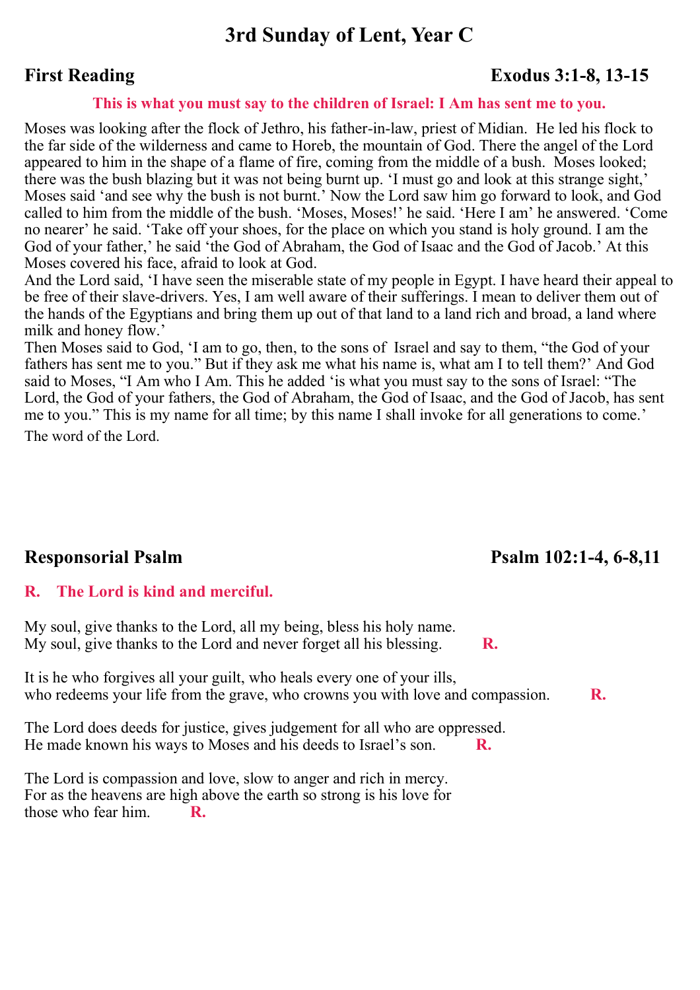# **3rd Sunday of Lent, Year C**

# **First Reading Exodus 3:1-8, 13-15**

#### **This is what you must say to the children of Israel: I Am has sent me to you.**

Moses was looking after the flock of Jethro, his father-in-law, priest of Midian. He led his flock to the far side of the wilderness and came to Horeb, the mountain of God. There the angel of the Lord appeared to him in the shape of a flame of fire, coming from the middle of a bush. Moses looked; there was the bush blazing but it was not being burnt up. 'I must go and look at this strange sight,' Moses said 'and see why the bush is not burnt.' Now the Lord saw him go forward to look, and God called to him from the middle of the bush. 'Moses, Moses!' he said. 'Here I am' he answered. 'Come no nearer' he said. 'Take off your shoes, for the place on which you stand is holy ground. I am the God of your father,' he said 'the God of Abraham, the God of Isaac and the God of Jacob.' At this Moses covered his face, afraid to look at God.

And the Lord said, 'I have seen the miserable state of my people in Egypt. I have heard their appeal to be free of their slave-drivers. Yes, I am well aware of their sufferings. I mean to deliver them out of the hands of the Egyptians and bring them up out of that land to a land rich and broad, a land where milk and honey flow.'

Then Moses said to God, 'I am to go, then, to the sons of Israel and say to them, "the God of your fathers has sent me to you." But if they ask me what his name is, what am I to tell them?' And God said to Moses, "I Am who I Am. This he added 'is what you must say to the sons of Israel: "The Lord, the God of your fathers, the God of Abraham, the God of Isaac, and the God of Jacob, has sent me to you." This is my name for all time; by this name I shall invoke for all generations to come.' The word of the Lord.

# **Responsorial Psalm Psalm 102:1-4, 6-8,11**

## **R. The Lord is kind and merciful.**

My soul, give thanks to the Lord, all my being, bless his holy name. My soul, give thanks to the Lord and never forget all his blessing. **R.**

It is he who forgives all your guilt, who heals every one of your ills, who redeems your life from the grave, who crowns you with love and compassion. **R.** 

The Lord does deeds for justice, gives judgement for all who are oppressed. He made known his ways to Moses and his deeds to Israel's son. **R.**

The Lord is compassion and love, slow to anger and rich in mercy. For as the heavens are high above the earth so strong is his love for those who fear him. **R.**